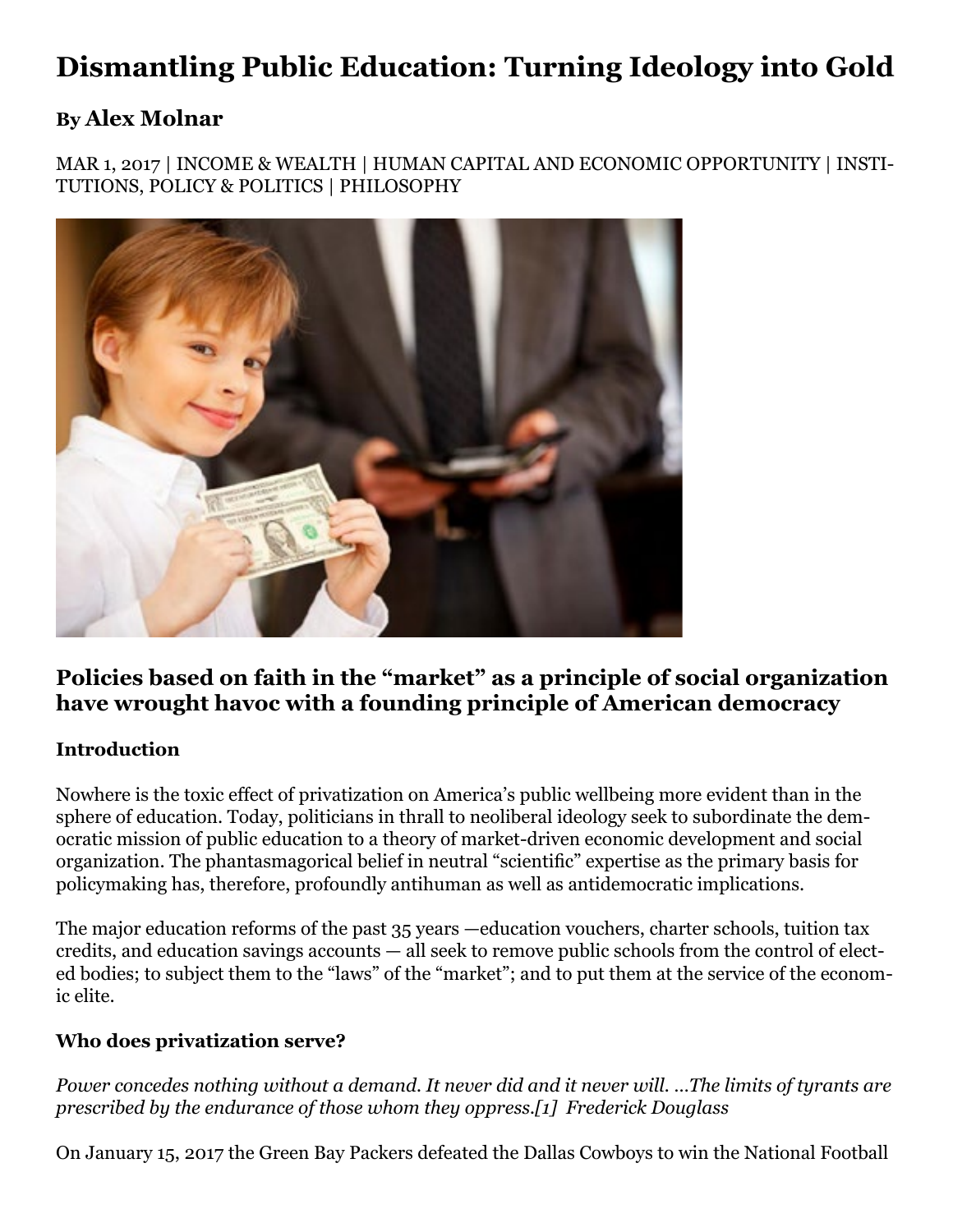# **Dismantling Public Education: Turning Ideology into Gold**

### **By [Alex Molnar](https://www.ineteconomics.org/research/experts/AlexMolnar)**

MAR 1, 2017 | [INCOME & WEALTH](https://www.ineteconomics.org/topic/inequality-distribution/income-wealth) | [HUMAN CAPITAL AND ECONOMIC OPPORTUNITY](https://www.ineteconomics.org/topic/inequality-distribution/human-capital-and-economic-opportunity) | [INSTI-](https://www.ineteconomics.org/topic/political-economy-development/institutions-policy-politics)[TUTIONS, POLICY & POLITICS](https://www.ineteconomics.org/topic/political-economy-development/institutions-policy-politics) | [PHILOSOPHY](https://www.ineteconomics.org/topic/society/philosophy)



### **Policies based on faith in the "market" as a principle of social organization have wrought havoc with a founding principle of American democracy**

### **Introduction**

Nowhere is the toxic effect of privatization on America's public wellbeing more evident than in the sphere of education. Today, politicians in thrall to neoliberal ideology seek to subordinate the democratic mission of public education to a theory of market-driven economic development and social organization. The phantasmagorical belief in neutral "scientific" expertise as the primary basis for policymaking has, therefore, profoundly antihuman as well as antidemocratic implications.

The major education reforms of the past 35 years —education vouchers, charter schools, tuition tax credits, and education savings accounts — all seek to remove public schools from the control of elected bodies; to subject them to the "laws" of the "market"; and to put them at the service of the economic elite.

### **Who does privatization serve?**

*Power concedes nothing without a demand. It never did and it never will. …The limits of tyrants are prescribed by the endurance of those whom they oppress.[\[1\]](file:///C:/Users/nicho/Downloads/MOLNAR%20PRIVATIZATION%20ESSAY%20-%20INSTITUTE%20FOR%20NEW%20ECONOMIC%20THINKING%20-%20SUBMITTED%202-24-17.docx#_edn1) Frederick Douglass*

On January 15, 2017 the Green Bay Packers defeated the Dallas Cowboys to win the National Football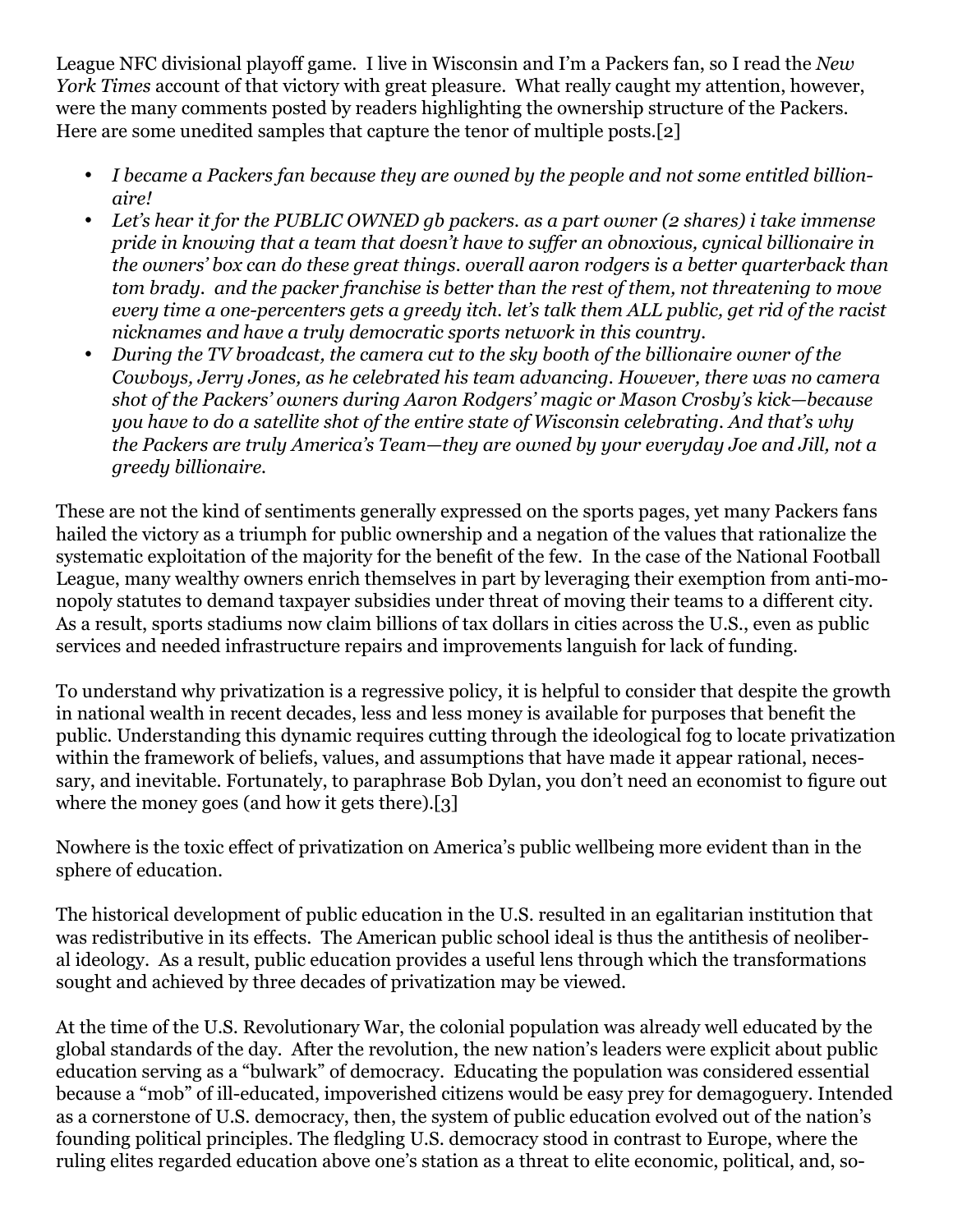League NFC divisional playoff game. I live in Wisconsin and I'm a Packers fan, so I read the *New York Times* account of that victory with great pleasure. What really caught my attention, however, were the many comments posted by readers highlighting the ownership structure of the Packers. Here are some unedited samples that capture the tenor of multiple posts.[\[2\]](file:///C:/Users/nicho/Downloads/MOLNAR%20PRIVATIZATION%20ESSAY%20-%20INSTITUTE%20FOR%20NEW%20ECONOMIC%20THINKING%20-%20SUBMITTED%202-24-17.docx#_edn2)

- *I became a Packers fan because they are owned by the people and not some entitled billionaire!*
- • *Let's hear it for the PUBLIC OWNED gb packers. as a part owner (2 shares) i take immense pride in knowing that a team that doesn't have to suffer an obnoxious, cynical billionaire in the owners' box can do these great things. overall aaron rodgers is a better quarterback than tom brady. and the packer franchise is better than the rest of them, not threatening to move every time a one-percenters gets a greedy itch. let's talk them ALL public, get rid of the racist nicknames and have a truly democratic sports network in this country.*
- • *During the TV broadcast, the camera cut to the sky booth of the billionaire owner of the Cowboys, Jerry Jones, as he celebrated his team advancing. However, there was no camera shot of the Packers' owners during Aaron Rodgers' magic or Mason Crosby's kick—because you have to do a satellite shot of the entire state of Wisconsin celebrating. And that's why the Packers are truly America's Team—they are owned by your everyday Joe and Jill, not a greedy billionaire.*

These are not the kind of sentiments generally expressed on the sports pages, yet many Packers fans hailed the victory as a triumph for public ownership and a negation of the values that rationalize the systematic exploitation of the majority for the benefit of the few. In the case of the National Football League, many wealthy owners enrich themselves in part by leveraging their exemption from anti-monopoly statutes to demand taxpayer subsidies under threat of moving their teams to a different city. As a result, sports stadiums now claim billions of tax dollars in cities across the U.S., even as public services and needed infrastructure repairs and improvements languish for lack of funding.

To understand why privatization is a regressive policy, it is helpful to consider that despite the growth in national wealth in recent decades, less and less money is available for purposes that benefit the public. Understanding this dynamic requires cutting through the ideological fog to locate privatization within the framework of beliefs, values, and assumptions that have made it appear rational, necessary, and inevitable. Fortunately, to paraphrase Bob Dylan, you don't need an economist to figure out where the money goes (and how it gets there).[\[3\]](file:///C:/Users/nicho/Downloads/MOLNAR%20PRIVATIZATION%20ESSAY%20-%20INSTITUTE%20FOR%20NEW%20ECONOMIC%20THINKING%20-%20SUBMITTED%202-24-17.docx#_edn3)

Nowhere is the toxic effect of privatization on America's public wellbeing more evident than in the sphere of education.

The historical development of public education in the U.S. resulted in an egalitarian institution that was redistributive in its effects. The American public school ideal is thus the antithesis of neoliberal ideology. As a result, public education provides a useful lens through which the transformations sought and achieved by three decades of privatization may be viewed.

At the time of the U.S. Revolutionary War, the colonial population was already well educated by the global standards of the day. After the revolution, the new nation's leaders were explicit about public education serving as a "bulwark" of democracy. Educating the population was considered essential because a "mob" of ill-educated, impoverished citizens would be easy prey for demagoguery. Intended as a cornerstone of U.S. democracy, then, the system of public education evolved out of the nation's founding political principles. The fledgling U.S. democracy stood in contrast to Europe, where the ruling elites regarded education above one's station as a threat to elite economic, political, and, so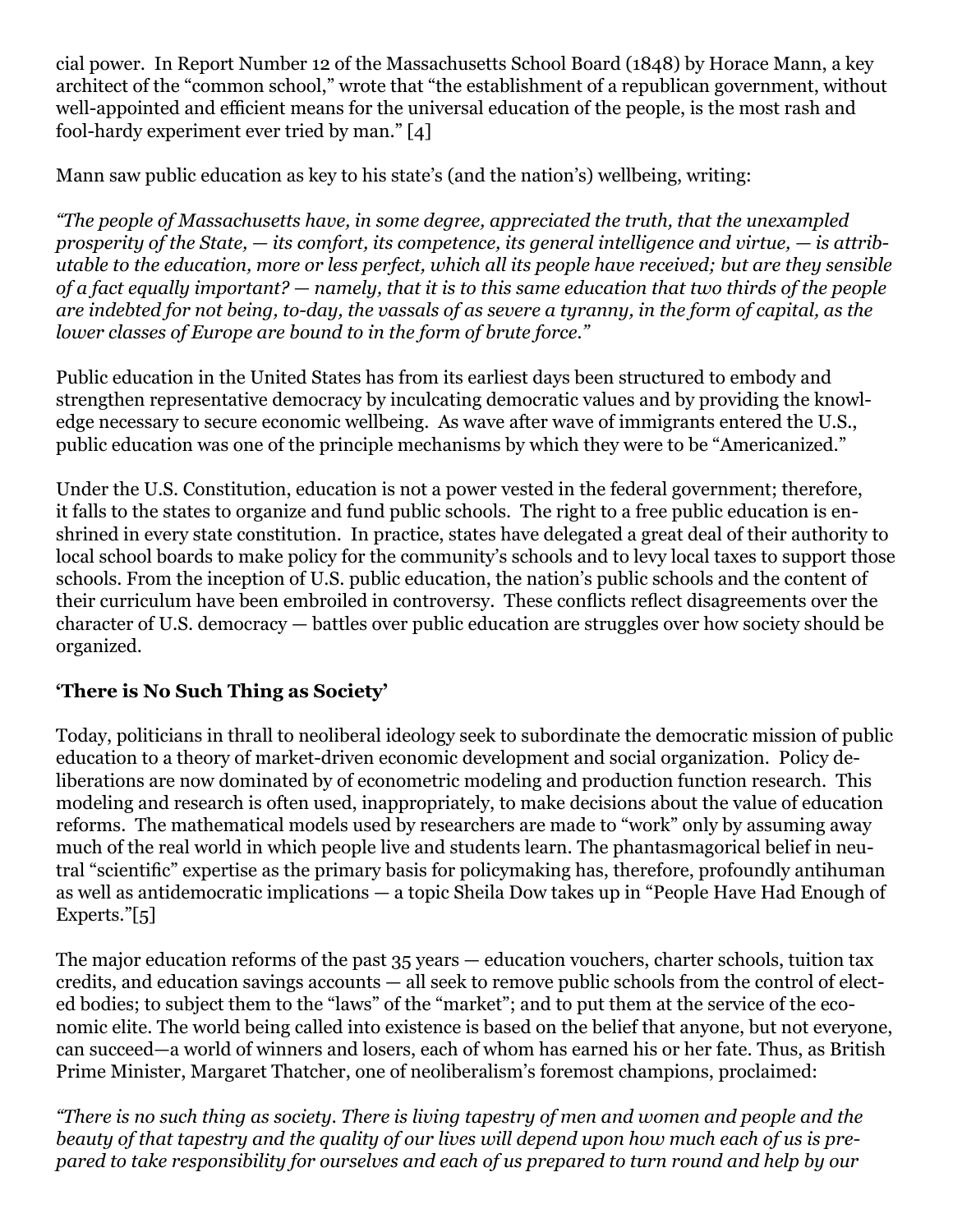cial power. In Report Number 12 of the Massachusetts School Board (1848) by Horace Mann, a key architect of the "common school," wrote that "the establishment of a republican government, without well-appointed and efficient means for the universal education of the people, is the most rash and fool-hardy experiment ever tried by man." [4]

Mann saw public education as key to his state's (and the nation's) wellbeing, writing:

*"The people of Massachusetts have, in some degree, appreciated the truth, that the unexampled prosperity of the State, — its comfort, its competence, its general intelligence and virtue, — is attributable to the education, more or less perfect, which all its people have received; but are they sensible of a fact equally important? — namely, that it is to this same education that two thirds of the people are indebted for not being, to-day, the vassals of as severe a tyranny, in the form of capital, as the lower classes of Europe are bound to in the form of brute force."*

Public education in the United States has from its earliest days been structured to embody and strengthen representative democracy by inculcating democratic values and by providing the knowledge necessary to secure economic wellbeing. As wave after wave of immigrants entered the U.S., public education was one of the principle mechanisms by which they were to be "Americanized."

Under the U.S. Constitution, education is not a power vested in the federal government; therefore, it falls to the states to organize and fund public schools. The right to a free public education is enshrined in every state constitution. In practice, states have delegated a great deal of their authority to local school boards to make policy for the community's schools and to levy local taxes to support those schools. From the inception of U.S. public education, the nation's public schools and the content of their curriculum have been embroiled in controversy. These conflicts reflect disagreements over the character of U.S. democracy — battles over public education are struggles over how society should be organized.

## **'There is No Such Thing as Society'**

Today, politicians in thrall to neoliberal ideology seek to subordinate the democratic mission of public education to a theory of market-driven economic development and social organization. Policy deliberations are now dominated by of econometric modeling and production function research. This modeling and research is often used, inappropriately, to make decisions about the value of education reforms. The mathematical models used by researchers are made to "work" only by assuming away much of the real world in which people live and students learn. The phantasmagorical belief in neutral "scientific" expertise as the primary basis for policymaking has, therefore, profoundly antihuman as well as antidemocratic implications — a topic Sheila Dow takes up in "[People Have Had Enough of](https://www.ineteconomics.org/perspectives/blog/people-have-had-enough-of-experts)  [Experts.](https://www.ineteconomics.org/perspectives/blog/people-have-had-enough-of-experts)"[\[5\]](file:///C:/Users/nicho/Downloads/MOLNAR%20PRIVATIZATION%20ESSAY%20-%20INSTITUTE%20FOR%20NEW%20ECONOMIC%20THINKING%20-%20SUBMITTED%202-24-17.docx#_edn5)

The major education reforms of the past 35 years — education vouchers, charter schools, tuition tax credits, and education savings accounts — all seek to remove public schools from the control of elected bodies; to subject them to the "laws" of the "market"; and to put them at the service of the economic elite. The world being called into existence is based on the belief that anyone, but not everyone, can succeed—a world of winners and losers, each of whom has earned his or her fate. Thus, as British Prime Minister, Margaret Thatcher, one of neoliberalism's foremost champions, proclaimed:

*"There is no such thing as society. There is living tapestry of men and women and people and the beauty of that tapestry and the quality of our lives will depend upon how much each of us is prepared to take responsibility for ourselves and each of us prepared to turn round and help by our*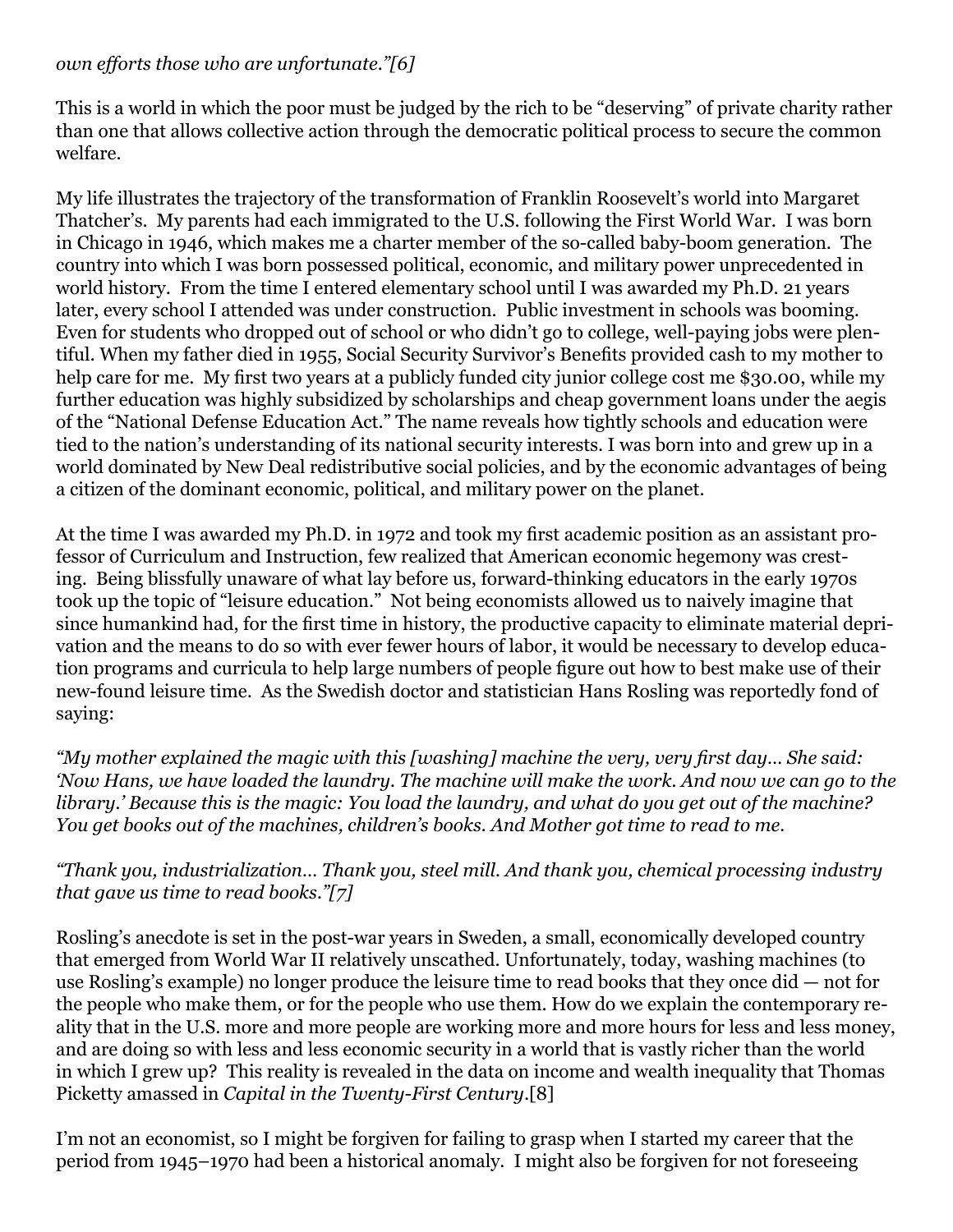#### *own efforts those who are unfortunate."[\[6\]](file:///C:/Users/nicho/Downloads/MOLNAR%20PRIVATIZATION%20ESSAY%20-%20INSTITUTE%20FOR%20NEW%20ECONOMIC%20THINKING%20-%20SUBMITTED%202-24-17.docx#_edn6)*

This is a world in which the poor must be judged by the rich to be "deserving" of private charity rather than one that allows collective action through the democratic political process to secure the common welfare.

My life illustrates the trajectory of the transformation of Franklin Roosevelt's world into Margaret Thatcher's. My parents had each immigrated to the U.S. following the First World War. I was born in Chicago in 1946, which makes me a charter member of the so-called baby-boom generation. The country into which I was born possessed political, economic, and military power unprecedented in world history. From the time I entered elementary school until I was awarded my Ph.D. 21 years later, every school I attended was under construction. Public investment in schools was booming. Even for students who dropped out of school or who didn't go to college, well-paying jobs were plentiful. When my father died in 1955, Social Security Survivor's Benefits provided cash to my mother to help care for me. My first two years at a publicly funded city junior college cost me \$30.00, while my further education was highly subsidized by scholarships and cheap government loans under the aegis of the "National Defense Education Act." The name reveals how tightly schools and education were tied to the nation's understanding of its national security interests. I was born into and grew up in a world dominated by New Deal redistributive social policies, and by the economic advantages of being a citizen of the dominant economic, political, and military power on the planet.

At the time I was awarded my Ph.D. in 1972 and took my first academic position as an assistant professor of Curriculum and Instruction, few realized that American economic hegemony was cresting. Being blissfully unaware of what lay before us, forward-thinking educators in the early 1970s took up the topic of "leisure education." Not being economists allowed us to naively imagine that since humankind had, for the first time in history, the productive capacity to eliminate material deprivation and the means to do so with ever fewer hours of labor, it would be necessary to develop education programs and curricula to help large numbers of people figure out how to best make use of their new-found leisure time. As the Swedish doctor and statistician Hans Rosling was reportedly fond of saying:

*"My mother explained the magic with this [washing] machine the very, very first day… She said: 'Now Hans, we have loaded the laundry. The machine will make the work. And now we can go to the library.' Because this is the magic: You load the laundry, and what do you get out of the machine? You get books out of the machines, children's books. And Mother got time to read to me.*

*"Thank you, industrialization… Thank you, steel mill. And thank you, chemical processing industry that gave us time to read books."[\[7\]](file:///C:/Users/nicho/Downloads/MOLNAR%20PRIVATIZATION%20ESSAY%20-%20INSTITUTE%20FOR%20NEW%20ECONOMIC%20THINKING%20-%20SUBMITTED%202-24-17.docx#_edn7)*

Rosling's anecdote is set in the post-war years in Sweden, a small, economically developed country that emerged from World War II relatively unscathed. Unfortunately, today, washing machines (to use Rosling's example) no longer produce the leisure time to read books that they once did — not for the people who make them, or for the people who use them. How do we explain the contemporary reality that in the U.S. more and more people are working more and more hours for less and less money, and are doing so with less and less economic security in a world that is vastly richer than the world in which I grew up? This reality is revealed in the data on income and wealth inequality that Thomas Picketty amassed in *Capital in the Twenty-First Century*[.\[8\]](file:///C:/Users/nicho/Downloads/MOLNAR%20PRIVATIZATION%20ESSAY%20-%20INSTITUTE%20FOR%20NEW%20ECONOMIC%20THINKING%20-%20SUBMITTED%202-24-17.docx#_edn8)

I'm not an economist, so I might be forgiven for failing to grasp when I started my career that the period from 1945–1970 had been a historical anomaly. I might also be forgiven for not foreseeing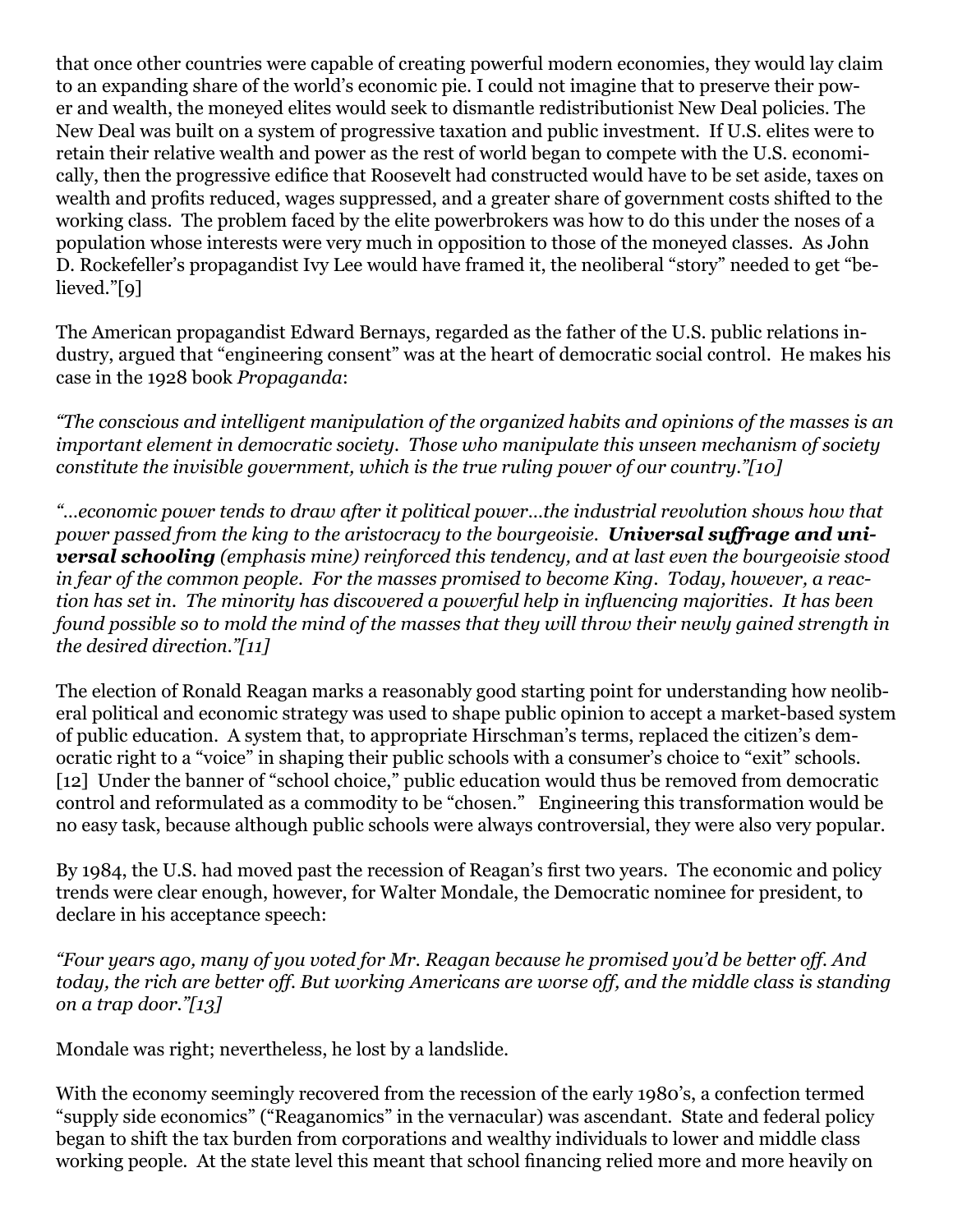that once other countries were capable of creating powerful modern economies, they would lay claim to an expanding share of the world's economic pie. I could not imagine that to preserve their power and wealth, the moneyed elites would seek to dismantle redistributionist New Deal policies. The New Deal was built on a system of progressive taxation and public investment. If U.S. elites were to retain their relative wealth and power as the rest of world began to compete with the U.S. economically, then the progressive edifice that Roosevelt had constructed would have to be set aside, taxes on wealth and profits reduced, wages suppressed, and a greater share of government costs shifted to the working class. The problem faced by the elite powerbrokers was how to do this under the noses of a population whose interests were very much in opposition to those of the moneyed classes. As John D. Rockefeller's propagandist Ivy Lee would have framed it, the neoliberal "story" needed to get "believed."[\[9\]](file:///C:/Users/nicho/Downloads/MOLNAR%20PRIVATIZATION%20ESSAY%20-%20INSTITUTE%20FOR%20NEW%20ECONOMIC%20THINKING%20-%20SUBMITTED%202-24-17.docx#_edn9)

The American propagandist Edward Bernays, regarded as the father of the U.S. public relations industry, argued that "engineering consent" was at the heart of democratic social control. He makes his case in the 1928 book *Propaganda*:

*"The conscious and intelligent manipulation of the organized habits and opinions of the masses is an important element in democratic society. Those who manipulate this unseen mechanism of society constitute the invisible government, which is the true ruling power of our country.["\[10\]](file:///C:/Users/nicho/Downloads/MOLNAR%20PRIVATIZATION%20ESSAY%20-%20INSTITUTE%20FOR%20NEW%20ECONOMIC%20THINKING%20-%20SUBMITTED%202-24-17.docx#_edn10)*

*"…economic power tends to draw after it political power…the industrial revolution shows how that power passed from the king to the aristocracy to the bourgeoisie. Universal suffrage and universal schooling (emphasis mine) reinforced this tendency, and at last even the bourgeoisie stood in fear of the common people. For the masses promised to become King. Today, however, a reaction has set in. The minority has discovered a powerful help in influencing majorities. It has been found possible so to mold the mind of the masses that they will throw their newly gained strength in the desired direction."[\[11\]](file:///C:/Users/nicho/Downloads/MOLNAR%20PRIVATIZATION%20ESSAY%20-%20INSTITUTE%20FOR%20NEW%20ECONOMIC%20THINKING%20-%20SUBMITTED%202-24-17.docx#_edn11)*

The election of Ronald Reagan marks a reasonably good starting point for understanding how neoliberal political and economic strategy was used to shape public opinion to accept a market-based system of public education. A system that, to appropriate Hirschman's terms, replaced the citizen's democratic right to a "voice" in shaping their public schools with a consumer's choice to "exit" schools. [\[12\]](file:///C:/Users/nicho/Downloads/MOLNAR%20PRIVATIZATION%20ESSAY%20-%20INSTITUTE%20FOR%20NEW%20ECONOMIC%20THINKING%20-%20SUBMITTED%202-24-17.docx#_edn12) Under the banner of "school choice," public education would thus be removed from democratic control and reformulated as a commodity to be "chosen." Engineering this transformation would be no easy task, because although public schools were always controversial, they were also very popular.

By 1984, the U.S. had moved past the recession of Reagan's first two years. The economic and policy trends were clear enough, however, for Walter Mondale, the Democratic nominee for president, to declare in his acceptance speech:

*"Four years ago, many of you voted for Mr. Reagan because he promised you'd be better off. And today, the rich are better off. But working Americans are worse off, and the middle class is standing on a trap door."[\[13\]](file:///C:/Users/nicho/Downloads/MOLNAR%20PRIVATIZATION%20ESSAY%20-%20INSTITUTE%20FOR%20NEW%20ECONOMIC%20THINKING%20-%20SUBMITTED%202-24-17.docx#_edn13)*

Mondale was right; nevertheless, he lost by a landslide.

With the economy seemingly recovered from the recession of the early 1980's, a confection termed "supply side economics" ("Reaganomics" in the vernacular) was ascendant. State and federal policy began to shift the tax burden from corporations and wealthy individuals to lower and middle class working people. At the state level this meant that school financing relied more and more heavily on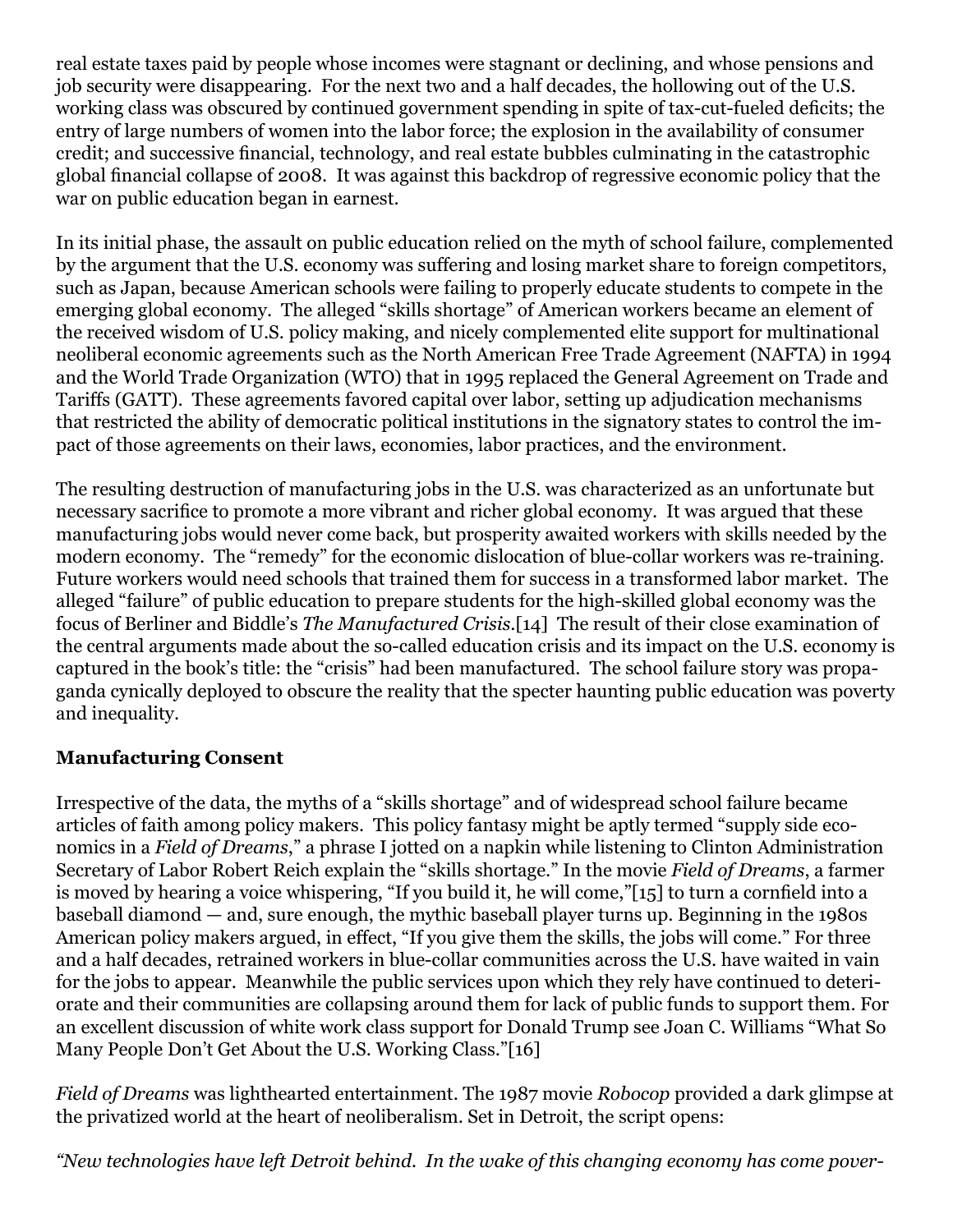real estate taxes paid by people whose incomes were stagnant or declining, and whose pensions and job security were disappearing. For the next two and a half decades, the hollowing out of the U.S. working class was obscured by continued government spending in spite of tax-cut-fueled deficits; the entry of large numbers of women into the labor force; the explosion in the availability of consumer credit; and successive financial, technology, and real estate bubbles culminating in the catastrophic global financial collapse of 2008. It was against this backdrop of regressive economic policy that the war on public education began in earnest.

In its initial phase, the assault on public education relied on the myth of school failure, complemented by the argument that the U.S. economy was suffering and losing market share to foreign competitors, such as Japan, because American schools were failing to properly educate students to compete in the emerging global economy. The alleged "skills shortage" of American workers became an element of the received wisdom of U.S. policy making, and nicely complemented elite support for multinational neoliberal economic agreements such as the North American Free Trade Agreement (NAFTA) in 1994 and the World Trade Organization (WTO) that in 1995 replaced the General Agreement on Trade and Tariffs (GATT). These agreements favored capital over labor, setting up adjudication mechanisms that restricted the ability of democratic political institutions in the signatory states to control the impact of those agreements on their laws, economies, labor practices, and the environment.

The resulting destruction of manufacturing jobs in the U.S. was characterized as an unfortunate but necessary sacrifice to promote a more vibrant and richer global economy. It was argued that these manufacturing jobs would never come back, but prosperity awaited workers with skills needed by the modern economy. The "remedy" for the economic dislocation of blue-collar workers was re-training. Future workers would need schools that trained them for success in a transformed labor market. The alleged "failure" of public education to prepare students for the high-skilled global economy was the focus of Berliner and Biddle's *The Manufactured Crisis*[.\[14\]](file:///C:/Users/nicho/Downloads/MOLNAR%20PRIVATIZATION%20ESSAY%20-%20INSTITUTE%20FOR%20NEW%20ECONOMIC%20THINKING%20-%20SUBMITTED%202-24-17.docx#_edn14) The result of their close examination of the central arguments made about the so-called education crisis and its impact on the U.S. economy is captured in the book's title: the "crisis" had been manufactured. The school failure story was propaganda cynically deployed to obscure the reality that the specter haunting public education was poverty and inequality.

### **Manufacturing Consent**

Irrespective of the data, the myths of a "skills shortage" and of widespread school failure became articles of faith among policy makers. This policy fantasy might be aptly termed "supply side economics in a *Field of Dreams*," a phrase I jotted on a napkin while listening to Clinton Administration Secretary of Labor Robert Reich explain the "skills shortage." In the movie *Field of Dreams*, a farmer is moved by hearing a voice whispering, "If you build it, he will come,"[\[15\]](file:///C:/Users/nicho/Downloads/MOLNAR%20PRIVATIZATION%20ESSAY%20-%20INSTITUTE%20FOR%20NEW%20ECONOMIC%20THINKING%20-%20SUBMITTED%202-24-17.docx#_edn15) to turn a cornfield into a baseball diamond — and, sure enough, the mythic baseball player turns up. Beginning in the 1980s American policy makers argued, in effect, "If you give them the skills, the jobs will come." For three and a half decades, retrained workers in blue-collar communities across the U.S. have waited in vain for the jobs to appear. Meanwhile the public services upon which they rely have continued to deteriorate and their communities are collapsing around them for lack of public funds to support them. For an excellent discussion of white work class support for Donald Trump see Joan C. Williams "What So Many People Don't Get About the U.S. Working Class.["\[16\]](file:///C:/Users/nicho/Downloads/MOLNAR%20PRIVATIZATION%20ESSAY%20-%20INSTITUTE%20FOR%20NEW%20ECONOMIC%20THINKING%20-%20SUBMITTED%202-24-17.docx#_edn16)

*Field of Dreams* was lighthearted entertainment. The 1987 movie *Robocop* provided a dark glimpse at the privatized world at the heart of neoliberalism. Set in Detroit, the script opens:

*"New technologies have left Detroit behind. In the wake of this changing economy has come pover-*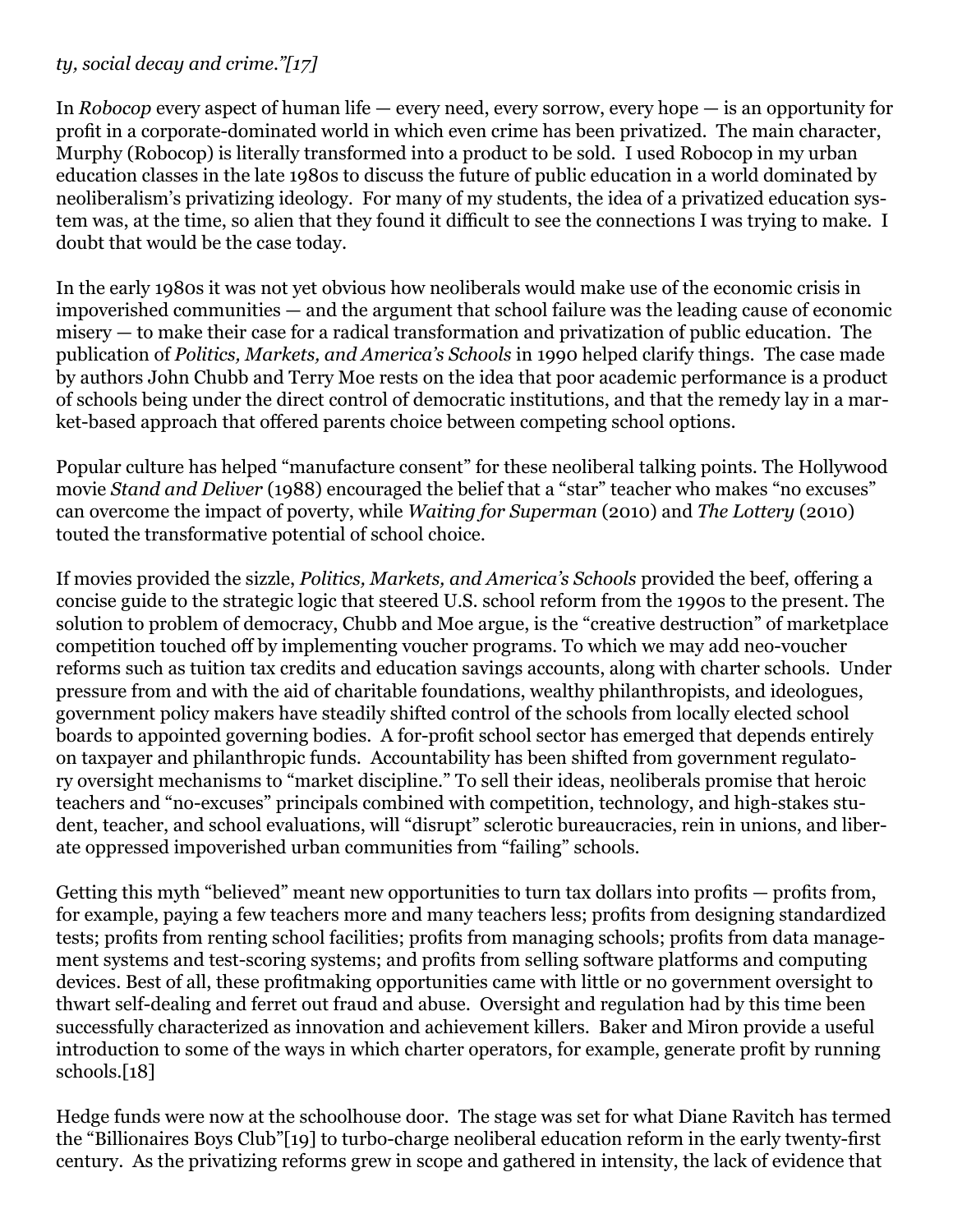#### *ty, social decay and crime."[\[17\]](file:///C:/Users/nicho/Downloads/MOLNAR%20PRIVATIZATION%20ESSAY%20-%20INSTITUTE%20FOR%20NEW%20ECONOMIC%20THINKING%20-%20SUBMITTED%202-24-17.docx#_edn17)*

In *Robocop* every aspect of human life — every need, every sorrow, every hope — is an opportunity for profit in a corporate-dominated world in which even crime has been privatized. The main character, Murphy (Robocop) is literally transformed into a product to be sold. I used Robocop in my urban education classes in the late 1980s to discuss the future of public education in a world dominated by neoliberalism's privatizing ideology. For many of my students, the idea of a privatized education system was, at the time, so alien that they found it difficult to see the connections I was trying to make. I doubt that would be the case today.

In the early 1980s it was not yet obvious how neoliberals would make use of the economic crisis in impoverished communities — and the argument that school failure was the leading cause of economic misery — to make their case for a radical transformation and privatization of public education. The publication of *Politics, Markets, and America's Schools* in 1990 helped clarify things. The case made by authors John Chubb and Terry Moe rests on the idea that poor academic performance is a product of schools being under the direct control of democratic institutions, and that the remedy lay in a market-based approach that offered parents choice between competing school options.

Popular culture has helped "manufacture consent" for these neoliberal talking points. The Hollywood movie *Stand and Deliver* (1988) encouraged the belief that a "star" teacher who makes "no excuses" can overcome the impact of poverty, while *Waiting for Superman* (2010) and *The Lottery* (2010) touted the transformative potential of school choice.

If movies provided the sizzle, *Politics, Markets, and America's Schools* provided the beef, offering a concise guide to the strategic logic that steered U.S. school reform from the 1990s to the present. The solution to problem of democracy, Chubb and Moe argue, is the "creative destruction" of marketplace competition touched off by implementing voucher programs. To which we may add neo-voucher reforms such as tuition tax credits and education savings accounts, along with charter schools. Under pressure from and with the aid of charitable foundations, wealthy philanthropists, and ideologues, government policy makers have steadily shifted control of the schools from locally elected school boards to appointed governing bodies. A for-profit school sector has emerged that depends entirely on taxpayer and philanthropic funds. Accountability has been shifted from government regulatory oversight mechanisms to "market discipline." To sell their ideas, neoliberals promise that heroic teachers and "no-excuses" principals combined with competition, technology, and high-stakes student, teacher, and school evaluations, will "disrupt" sclerotic bureaucracies, rein in unions, and liberate oppressed impoverished urban communities from "failing" schools.

Getting this myth "believed" meant new opportunities to turn tax dollars into profits — profits from, for example, paying a few teachers more and many teachers less; profits from designing standardized tests; profits from renting school facilities; profits from managing schools; profits from data management systems and test-scoring systems; and profits from selling software platforms and computing devices. Best of all, these profitmaking opportunities came with little or no government oversight to thwart self-dealing and ferret out fraud and abuse. Oversight and regulation had by this time been successfully characterized as innovation and achievement killers. Baker and Miron provide a useful introduction to some of the ways in which charter operators, for example, generate profit by running schools[.\[18\]](file:///C:/Users/nicho/Downloads/MOLNAR%20PRIVATIZATION%20ESSAY%20-%20INSTITUTE%20FOR%20NEW%20ECONOMIC%20THINKING%20-%20SUBMITTED%202-24-17.docx#_edn18)

Hedge funds were now at the schoolhouse door. The stage was set for what Diane Ravitch has termed the "Billionaires Boys Club["\[19\]](file:///C:/Users/nicho/Downloads/MOLNAR%20PRIVATIZATION%20ESSAY%20-%20INSTITUTE%20FOR%20NEW%20ECONOMIC%20THINKING%20-%20SUBMITTED%202-24-17.docx#_edn19) to turbo-charge neoliberal education reform in the early twenty-first century. As the privatizing reforms grew in scope and gathered in intensity, the lack of evidence that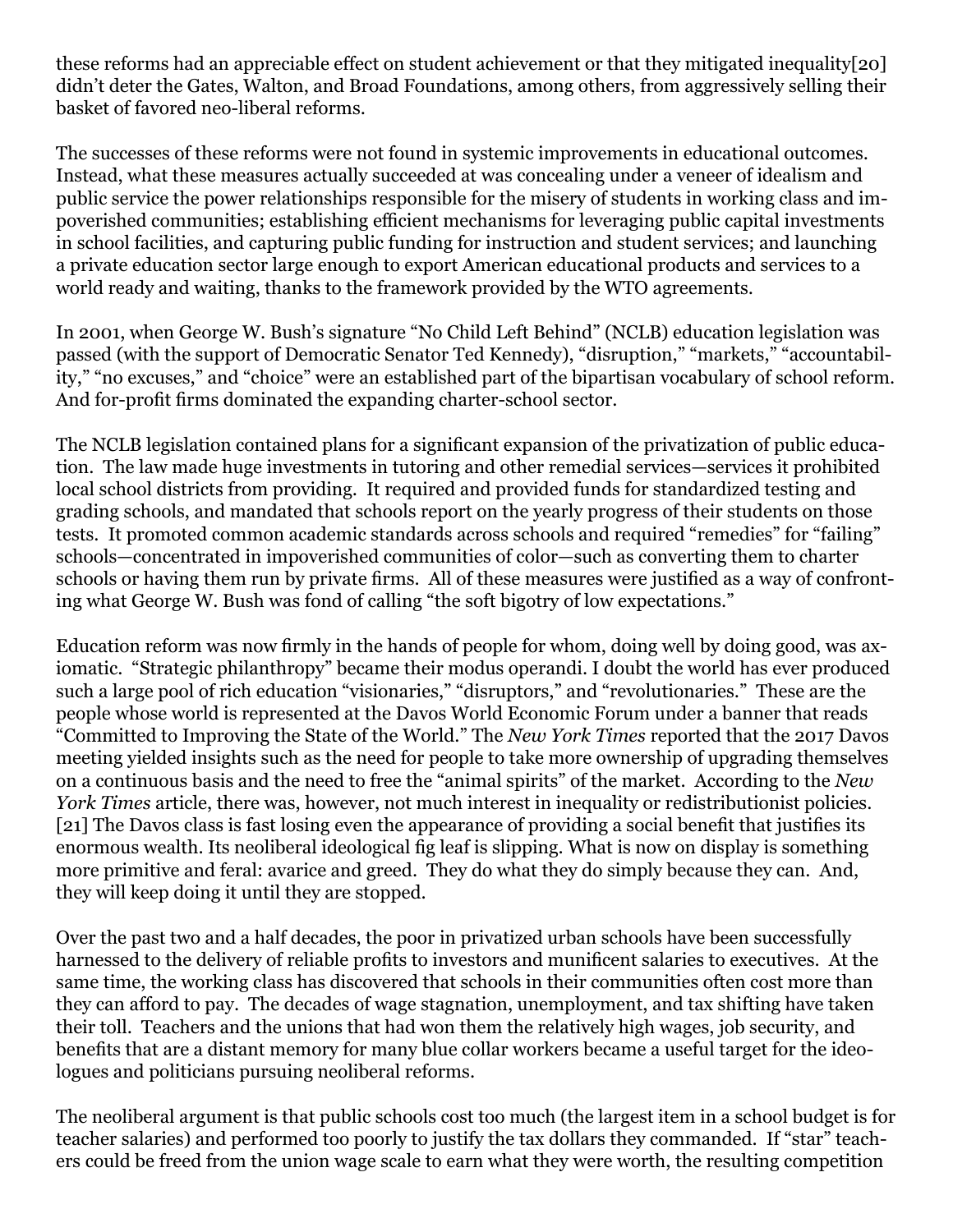these reforms had an appreciable effect on student achievement or that they mitigated inequality[\[20\]](file:///C:/Users/nicho/Downloads/MOLNAR%20PRIVATIZATION%20ESSAY%20-%20INSTITUTE%20FOR%20NEW%20ECONOMIC%20THINKING%20-%20SUBMITTED%202-24-17.docx#_edn20)  didn't deter the Gates, Walton, and Broad Foundations, among others, from aggressively selling their basket of favored neo-liberal reforms.

The successes of these reforms were not found in systemic improvements in educational outcomes. Instead, what these measures actually succeeded at was concealing under a veneer of idealism and public service the power relationships responsible for the misery of students in working class and impoverished communities; establishing efficient mechanisms for leveraging public capital investments in school facilities, and capturing public funding for instruction and student services; and launching a private education sector large enough to export American educational products and services to a world ready and waiting, thanks to the framework provided by the WTO agreements.

In 2001, when George W. Bush's signature "No Child Left Behind" (NCLB) education legislation was passed (with the support of Democratic Senator Ted Kennedy), "disruption," "markets," "accountability," "no excuses," and "choice" were an established part of the bipartisan vocabulary of school reform. And for-profit firms dominated the expanding charter-school sector.

The NCLB legislation contained plans for a significant expansion of the privatization of public education. The law made huge investments in tutoring and other remedial services—services it prohibited local school districts from providing. It required and provided funds for standardized testing and grading schools, and mandated that schools report on the yearly progress of their students on those tests. It promoted common academic standards across schools and required "remedies" for "failing" schools—concentrated in impoverished communities of color—such as converting them to charter schools or having them run by private firms. All of these measures were justified as a way of confronting what George W. Bush was fond of calling "the soft bigotry of low expectations."

Education reform was now firmly in the hands of people for whom, doing well by doing good, was axiomatic. "Strategic philanthropy" became their modus operandi. I doubt the world has ever produced such a large pool of rich education "visionaries," "disruptors," and "revolutionaries." These are the people whose world is represented at the Davos World Economic Forum under a banner that reads "Committed to Improving the State of the World." The *New York Times* reported that the 2017 Davos meeting yielded insights such as the need for people to take more ownership of upgrading themselves on a continuous basis and the need to free the "animal spirits" of the market. According to the *New York Times* article, there was, however, not much interest in inequality or redistributionist policies. [\[21\]](file:///C:/Users/nicho/Downloads/MOLNAR%20PRIVATIZATION%20ESSAY%20-%20INSTITUTE%20FOR%20NEW%20ECONOMIC%20THINKING%20-%20SUBMITTED%202-24-17.docx#_edn21) The Davos class is fast losing even the appearance of providing a social benefit that justifies its enormous wealth. Its neoliberal ideological fig leaf is slipping. What is now on display is something more primitive and feral: avarice and greed. They do what they do simply because they can. And, they will keep doing it until they are stopped.

Over the past two and a half decades, the poor in privatized urban schools have been successfully harnessed to the delivery of reliable profits to investors and munificent salaries to executives. At the same time, the working class has discovered that schools in their communities often cost more than they can afford to pay. The decades of wage stagnation, unemployment, and tax shifting have taken their toll. Teachers and the unions that had won them the relatively high wages, job security, and benefits that are a distant memory for many blue collar workers became a useful target for the ideologues and politicians pursuing neoliberal reforms.

The neoliberal argument is that public schools cost too much (the largest item in a school budget is for teacher salaries) and performed too poorly to justify the tax dollars they commanded. If "star" teachers could be freed from the union wage scale to earn what they were worth, the resulting competition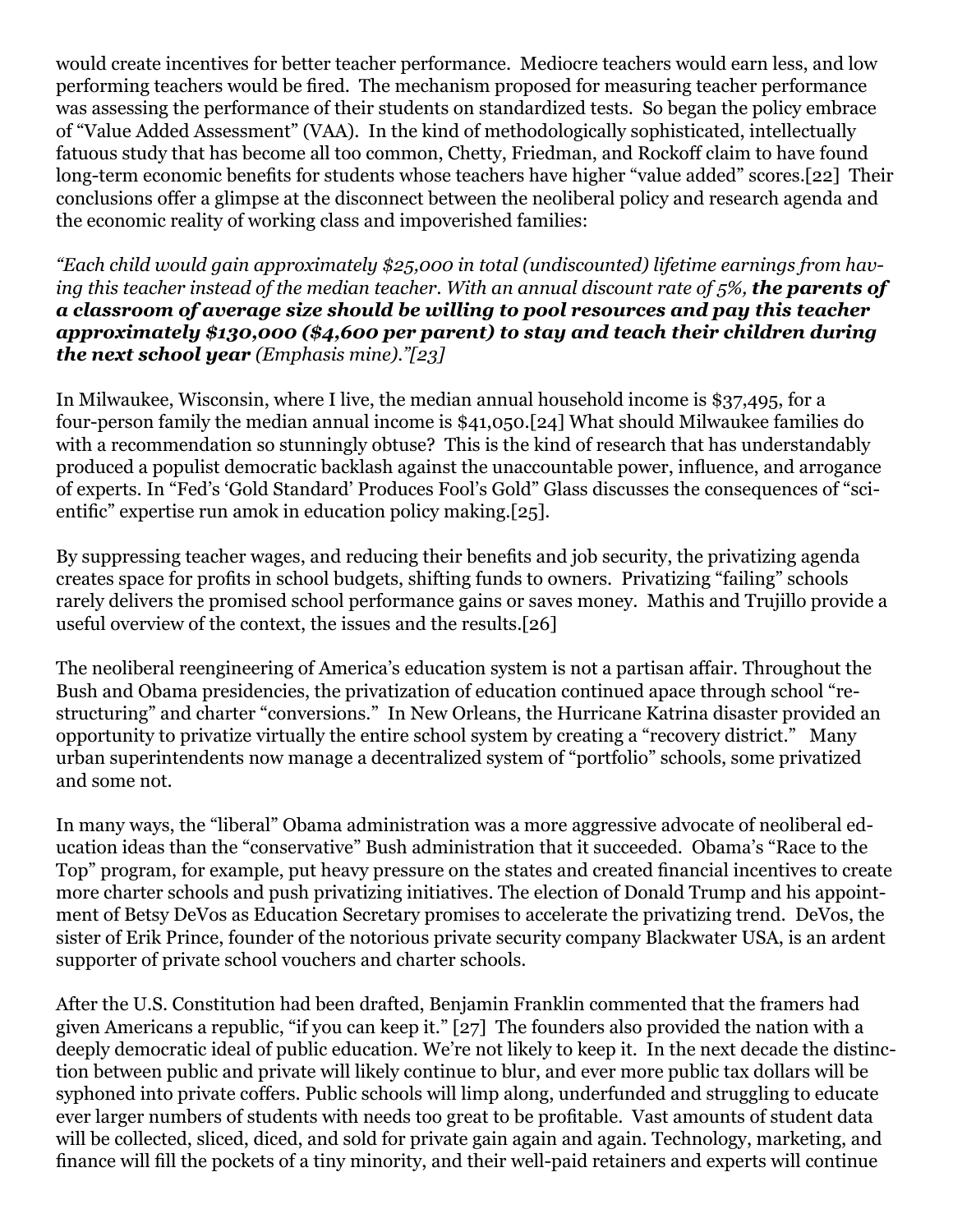would create incentives for better teacher performance. Mediocre teachers would earn less, and low performing teachers would be fired. The mechanism proposed for measuring teacher performance was assessing the performance of their students on standardized tests. So began the policy embrace of "Value Added Assessment" (VAA). In the kind of methodologically sophisticated, intellectually fatuous study that has become all too common, Chetty, Friedman, and Rockoff claim to have found long-term economic benefits for students whose teachers have higher "value added" scores[.\[22\]](file:///C:/Users/nicho/Downloads/MOLNAR%20PRIVATIZATION%20ESSAY%20-%20INSTITUTE%20FOR%20NEW%20ECONOMIC%20THINKING%20-%20SUBMITTED%202-24-17.docx#_edn22) Their conclusions offer a glimpse at the disconnect between the neoliberal policy and research agenda and the economic reality of working class and impoverished families:

*"Each child would gain approximately \$25,000 in total (undiscounted) lifetime earnings from having this teacher instead of the median teacher. With an annual discount rate of 5%, the parents of a classroom of average size should be willing to pool resources and pay this teacher approximately \$130,000 (\$4,600 per parent) to stay and teach their children during the next school year (Emphasis mine)."[\[23\]](file:///C:/Users/nicho/Downloads/MOLNAR%20PRIVATIZATION%20ESSAY%20-%20INSTITUTE%20FOR%20NEW%20ECONOMIC%20THINKING%20-%20SUBMITTED%202-24-17.docx#_edn23)*

In Milwaukee, Wisconsin, where I live, the median annual household income is \$37,495, for a four-person family the median annual income is \$41,050[.\[24\]](file:///C:/Users/nicho/Downloads/MOLNAR%20PRIVATIZATION%20ESSAY%20-%20INSTITUTE%20FOR%20NEW%20ECONOMIC%20THINKING%20-%20SUBMITTED%202-24-17.docx#_edn24) What should Milwaukee families do with a recommendation so stunningly obtuse? This is the kind of research that has understandably produced a populist democratic backlash against the unaccountable power, influence, and arrogance of experts. In "Fed's 'Gold Standard' Produces Fool's Gold" Glass discusses the consequences of "scientific" expertise run amok in education policy making[.\[25\]](file:///C:/Users/nicho/Downloads/MOLNAR%20PRIVATIZATION%20ESSAY%20-%20INSTITUTE%20FOR%20NEW%20ECONOMIC%20THINKING%20-%20SUBMITTED%202-24-17.docx#_edn25).

By suppressing teacher wages, and reducing their benefits and job security, the privatizing agenda creates space for profits in school budgets, shifting funds to owners. Privatizing "failing" schools rarely delivers the promised school performance gains or saves money. Mathis and Trujillo provide a useful overview of the context, the issues and the results.[\[26\]](file:///C:/Users/nicho/Downloads/MOLNAR%20PRIVATIZATION%20ESSAY%20-%20INSTITUTE%20FOR%20NEW%20ECONOMIC%20THINKING%20-%20SUBMITTED%202-24-17.docx#_edn26)

The neoliberal reengineering of America's education system is not a partisan affair. Throughout the Bush and Obama presidencies, the privatization of education continued apace through school "restructuring" and charter "conversions." In New Orleans, the Hurricane Katrina disaster provided an opportunity to privatize virtually the entire school system by creating a "recovery district." Many urban superintendents now manage a decentralized system of "portfolio" schools, some privatized and some not.

In many ways, the "liberal" Obama administration was a more aggressive advocate of neoliberal education ideas than the "conservative" Bush administration that it succeeded. Obama's "Race to the Top" program, for example, put heavy pressure on the states and created financial incentives to create more charter schools and push privatizing initiatives. The election of Donald Trump and his appointment of Betsy DeVos as Education Secretary promises to accelerate the privatizing trend. DeVos, the sister of Erik Prince, founder of the notorious private security company Blackwater USA, is an ardent supporter of private school vouchers and charter schools.

After the U.S. Constitution had been drafted, Benjamin Franklin commented that the framers had given Americans a republic, "if you can keep it." [27] The founders also provided the nation with a deeply democratic ideal of public education. We're not likely to keep it. In the next decade the distinction between public and private will likely continue to blur, and ever more public tax dollars will be syphoned into private coffers. Public schools will limp along, underfunded and struggling to educate ever larger numbers of students with needs too great to be profitable. Vast amounts of student data will be collected, sliced, diced, and sold for private gain again and again. Technology, marketing, and finance will fill the pockets of a tiny minority, and their well-paid retainers and experts will continue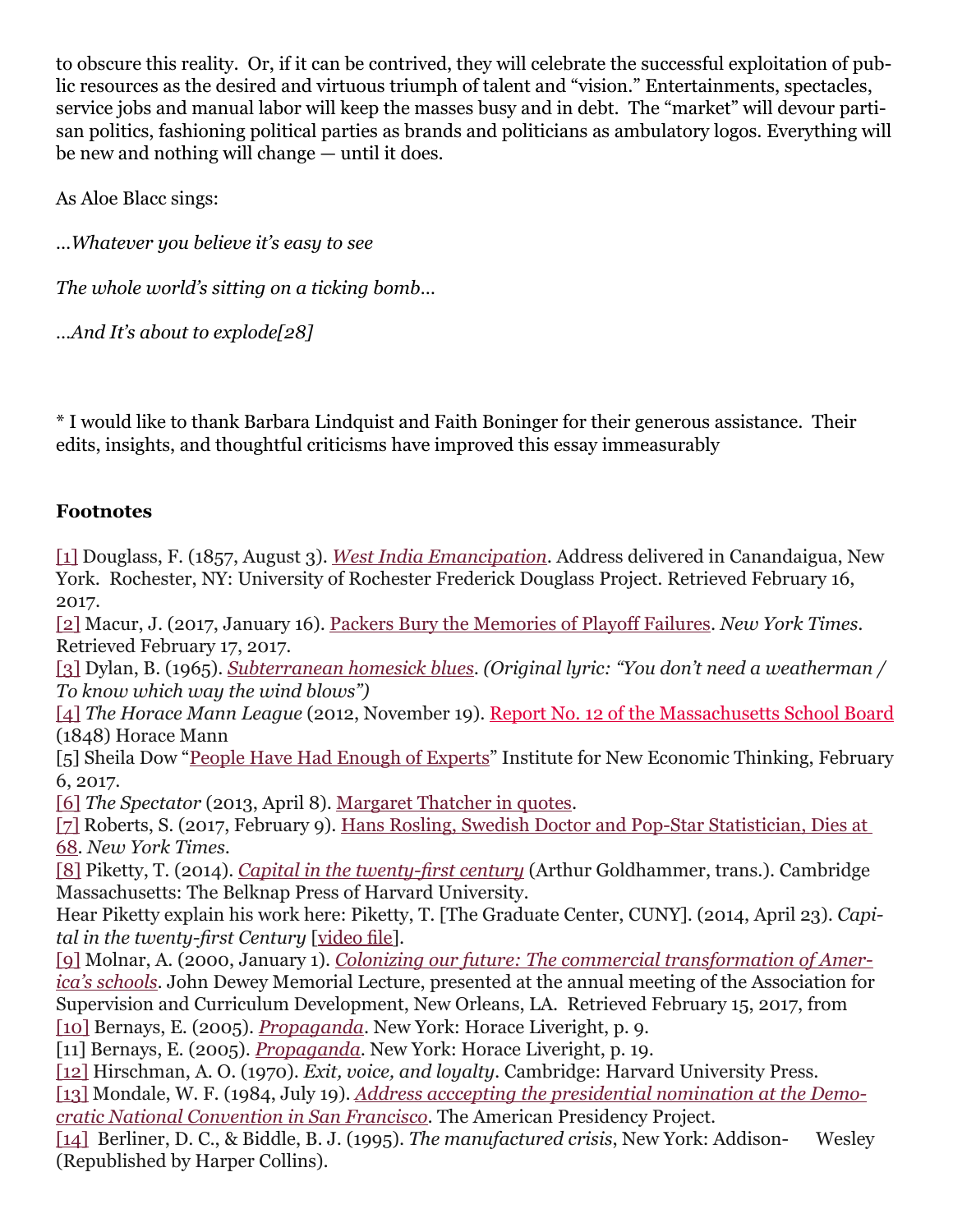to obscure this reality. Or, if it can be contrived, they will celebrate the successful exploitation of public resources as the desired and virtuous triumph of talent and "vision." Entertainments, spectacles, service jobs and manual labor will keep the masses busy and in debt. The "market" will devour partisan politics, fashioning political parties as brands and politicians as ambulatory logos. Everything will be new and nothing will change — until it does.

As Aloe Blacc sings:

*…Whatever you believe it's easy to see*

*The whole world's sitting on a ticking bomb…*

*…And It's about to explod[e\[28\]](file:///C:/Users/nicho/Downloads/MOLNAR%20PRIVATIZATION%20ESSAY%20-%20INSTITUTE%20FOR%20NEW%20ECONOMIC%20THINKING%20-%20SUBMITTED%202-24-17.docx#_edn28)*

\* I would like to thank Barbara Lindquist and Faith Boninger for their generous assistance. Their edits, insights, and thoughtful criticisms have improved this essay immeasurably

### **Footnotes**

[\[1\]](file:///C:/Users/nicho/Downloads/MOLNAR%20PRIVATIZATION%20ESSAY%20-%20INSTITUTE%20FOR%20NEW%20ECONOMIC%20THINKING%20-%20SUBMITTED%202-24-17.docx#_ednref1) Douglass, F. (1857, August 3). *[West India Emancipation](http://rbscp.lib.rochester.edu/4398)*. Address delivered in Canandaigua, New York. Rochester, NY: University of Rochester Frederick Douglass Project. Retrieved February 16, 2017.

[\[2\]](file:///C:/Users/nicho/Downloads/MOLNAR%20PRIVATIZATION%20ESSAY%20-%20INSTITUTE%20FOR%20NEW%20ECONOMIC%20THINKING%20-%20SUBMITTED%202-24-17.docx#_ednref2) Macur, J. (2017, January 16). [Packers Bury the Memories of Playoff Failures.](https://www.nytimes.com/2017/01/16/sports/football/green-bay-packers-mason-crosby-aaron-rodgers.html) *New York Times*. Retrieved February 17, 2017.

[\[3\]](file:///C:/Users/nicho/Downloads/MOLNAR%20PRIVATIZATION%20ESSAY%20-%20INSTITUTE%20FOR%20NEW%20ECONOMIC%20THINKING%20-%20SUBMITTED%202-24-17.docx#_ednref3) Dylan, B. (1965). *[Subterranean homesick blues](http://bobdylan.com/songs/subterranean-homesick-blues/)*. *(Original lyric: "You don't need a weatherman / To know which way the wind blows")*

[\[4\]](file:///C:/Users/nicho/Downloads/MOLNAR%20PRIVATIZATION%20ESSAY%20-%20INSTITUTE%20FOR%20NEW%20ECONOMIC%20THINKING%20-%20SUBMITTED%202-24-17.docx#_ednref4) *The Horace Mann League* (2012, November 19). [Report No. 12 of the Massachusetts School Board](http://horacemannleague.blogspot.com/2012/11/report-no-12-of-massachusetts-school.html) (1848) Horace Mann

[5] Sheila Dow "[People Have Had Enough of Experts"](https://www.ineteconomics.org/perspectives/blog/people-have-had-enough-of-experts) Institute for New Economic Thinking, February 6, 2017.

[\[6\]](file:///C:/Users/nicho/Downloads/MOLNAR%20PRIVATIZATION%20ESSAY%20-%20INSTITUTE%20FOR%20NEW%20ECONOMIC%20THINKING%20-%20SUBMITTED%202-24-17.docx#_ednref6) *The Spectator* (2013, April 8). [Margaret Thatcher in quotes.](http://blogs.spectator.co.uk/2013/04/margaret-thatcher-in-quotes/)

[\[7\]](file:///C:/Users/nicho/Downloads/MOLNAR%20PRIVATIZATION%20ESSAY%20-%20INSTITUTE%20FOR%20NEW%20ECONOMIC%20THINKING%20-%20SUBMITTED%202-24-17.docx#_ednref7) Roberts, S. (2017, February 9). [Hans Rosling, Swedish Doctor and Pop-Star Statistician, Dies at](https://www.nytimes.com/2017/02/09/world/europe/hans-rosling-dead-statistician.html)  [68.](https://www.nytimes.com/2017/02/09/world/europe/hans-rosling-dead-statistician.html) *New York Times*.

[\[8\]](file:///C:/Users/nicho/Downloads/MOLNAR%20PRIVATIZATION%20ESSAY%20-%20INSTITUTE%20FOR%20NEW%20ECONOMIC%20THINKING%20-%20SUBMITTED%202-24-17.docx#_ednref8) Piketty, T. (2014). *[Capital in the twenty-first century](http://dowbor.org/blog/wp-content/uploads/2014/06/14Thomas-Piketty.pdf)* (Arthur Goldhammer, trans.). Cambridge Massachusetts: The Belknap Press of Harvard University.

Hear Piketty explain his work here: Piketty, T. [The Graduate Center, CUNY]. (2014, April 23). *Capital in the twenty-first Century* [\[video file](https://www.youtube.com/watch?v=heOVJM2JZxI)].

[\[9\]](file:///C:/Users/nicho/Downloads/MOLNAR%20PRIVATIZATION%20ESSAY%20-%20INSTITUTE%20FOR%20NEW%20ECONOMIC%20THINKING%20-%20SUBMITTED%202-24-17.docx#_ednref9) Molnar, A. (2000, January 1). *[Colonizing our future: The commercial transformation of Amer](http://nepc.colorado.edu/publication/colonizing-our-future-commercial-transformation-americas-schools)[ica's schools](http://nepc.colorado.edu/publication/colonizing-our-future-commercial-transformation-americas-schools)*. John Dewey Memorial Lecture, presented at the annual meeting of the Association for Supervision and Curriculum Development, New Orleans, LA. Retrieved February 15, 2017, from [\[10\]](file:///C:/Users/nicho/Downloads/MOLNAR%20PRIVATIZATION%20ESSAY%20-%20INSTITUTE%20FOR%20NEW%20ECONOMIC%20THINKING%20-%20SUBMITTED%202-24-17.docx#_ednref10) Bernays, E. (2005). *[Propaganda](https://www.voltairenet.org/IMG/pdf/Bernays_Propaganda_in_english_.pdf)*. New York: Horace Liveright, p. 9.

[11] Bernays, E. (2005). *[Propaganda](https://www.voltairenet.org/IMG/pdf/Bernays_Propaganda_in_english_.pdf)*. New York: Horace Liveright, p. 19.

[\[12\]](file:///C:/Users/nicho/Downloads/MOLNAR%20PRIVATIZATION%20ESSAY%20-%20INSTITUTE%20FOR%20NEW%20ECONOMIC%20THINKING%20-%20SUBMITTED%202-24-17.docx#_ednref12) Hirschman, A. O. (1970). *Exit, voice, and loyalty.* Cambridge: Harvard University Press.

[\[13\]](file:///C:/Users/nicho/Downloads/MOLNAR%20PRIVATIZATION%20ESSAY%20-%20INSTITUTE%20FOR%20NEW%20ECONOMIC%20THINKING%20-%20SUBMITTED%202-24-17.docx#_ednref13) Mondale, W. F. (1984, July 19). *[Address acccepting the presidential nomination at the Demo](http://www.presidency.ucsb.edu/ws/?pid=25972)[cratic National Convention in San Francisco](http://www.presidency.ucsb.edu/ws/?pid=25972)*. The American Presidency Project.

[\[14\]](file:///C:/Users/nicho/Downloads/MOLNAR%20PRIVATIZATION%20ESSAY%20-%20INSTITUTE%20FOR%20NEW%20ECONOMIC%20THINKING%20-%20SUBMITTED%202-24-17.docx#_ednref14) Berliner, D. C., & Biddle, B. J. (1995). *The manufactured crisis*, New York: Addison- Wesley (Republished by Harper Collins).